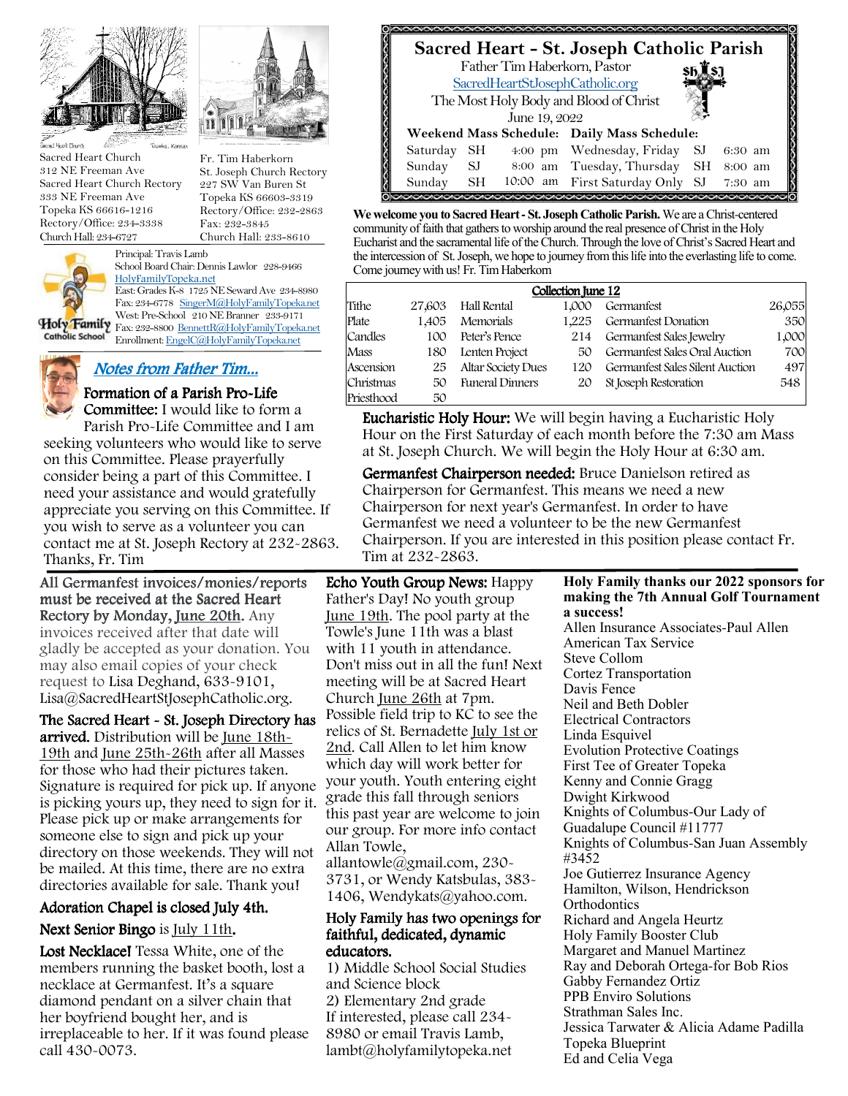

Sacred Heart Church 312 NE Freeman Ave Sacred Heart Church Rectory 333 NE Freeman Ave Topeka KS 66616-1216 Rectory/Office: 234-3338 Church Hall: 234-6727



Fr. Tim Haberkorn



Principal: Travis Lamb School Board Chair: Dennis Lawlor 228-9466 HolyFamilyTopeka.net East: Grades K-8 1725 NE Seward Ave 234-8980 Fax: 234-6778 SingerM@HolyFamilyTopeka.net West: Pre-School 210 NE Branner 233-9171

Fax: 232-8800 BennettR@HolyFamilyTopeka.net Catholic School Enrollment: EngelC@HolyFamilyTopeka.net

# Notes from Father Tim...

# Formation of a Parish Pro-Life

**Committee:** I would like to form a Parish Pro-Life Committee and I am seeking volunteers who would like to serve on this Committee. Please prayerfully consider being a part of this Committee. I need your assistance and would gratefully appreciate you serving on this Committee. If you wish to serve as a volunteer you can contact me at St. Joseph Rectory at 232-2863. Thanks, Fr. Tim

All Germanfest invoices/monies/reports must be received at the Sacred Heart Rectory by Monday, June 20th. Any invoices received after that date will gladly be accepted as your donation. You may also email copies of your check request to Lisa Deghand, 633-9101, Lisa@SacredHeartStJosephCatholic.org.

The Sacred Heart - St. Joseph Directory has arrived. Distribution will be June 18th-19th and June 25th-26th after all Masses for those who had their pictures taken. Signature is required for pick up. If anyone is picking yours up, they need to sign for it. Please pick up or make arrangements for someone else to sign and pick up your directory on those weekends. They will not be mailed. At this time, there are no extra directories available for sale. Thank you!

## Adoration Chapel is closed July 4th.

## Next Senior Bingo is July 11th.

Lost Necklace! Tessa White, one of the members running the basket booth, lost a necklace at Germanfest. It's a square diamond pendant on a silver chain that her boyfriend bought her, and is irreplaceable to her. If it was found please call 430-0073.

# **Sacred Heart - St. Joseph Catholic Parish**

 The Most Holy Body and Blood of Christ Father Tim Haberkorn, Pastor SacredHeartStJosephCatholic.org June 19, 2022 **Daily Mass Schedule: Weekend Mass Schedule:**  Saturday SH 4:00 pm Wednesday, Friday SJ 6:30 am Sunday SJ 8:00 am Tuesday, Thursday SH 8:00 am Sunday SH 10:00 am First Saturday Only SJ 7:30 am

**We welcome you to Sacred Heart - St. Joseph Catholic Parish.** We are a Christ-centered community of faith that gathers to worship around the real presence of Christ in the Holy Eucharist and the sacramental life of the Church. Through the love of Christ's Sacred Heart and the intercession of St. Joseph, we hope to journey from this life into the everlasting life to come. Come journey with us! Fr. Tim Haberkorn

| Collection June 12 |        |                           |       |                                 |        |  |
|--------------------|--------|---------------------------|-------|---------------------------------|--------|--|
| Tithe              | 27,603 | Hall Rental               | 1.000 | Germanfest                      | 26,055 |  |
| Plate              | 1.405  | Memorials                 | 1.225 | Germanfest Donation             | 350    |  |
| Candles            | 100    | Peter's Pence             | 214   | Germanfest Sales Jewelry        | 1,000  |  |
| Mass               | 180    | Lenten Project            | 50    | Germanfest Sales Oral Auction   | 700    |  |
| Ascension          | 25     | <b>Altar Society Dues</b> | 120   | Germanfest Sales Silent Auction | 497    |  |
| Christmas          | 50     | <b>Funeral Dinners</b>    | 20    | St Joseph Restoration           | 548    |  |
| Priesthood         | 50     |                           |       |                                 |        |  |

Eucharistic Holy Hour: We will begin having a Eucharistic Holy Hour on the First Saturday of each month before the 7:30 am Mass at St. Joseph Church. We will begin the Holy Hour at 6:30 am.

Germanfest Chairperson needed: Bruce Danielson retired as Chairperson for Germanfest. This means we need a new Chairperson for next year's Germanfest. In order to have Germanfest we need a volunteer to be the new Germanfest Chairperson. If you are interested in this position please contact Fr. Tim at 232-2863.

Echo Youth Group News: Happy Father's Day! No youth group June 19th. The pool party at the Towle's June 11th was a blast with 11 youth in attendance. Don't miss out in all the fun! Next meeting will be at Sacred Heart Church June 26th at 7pm. Possible field trip to KC to see the relics of St. Bernadette July 1st or 2nd. Call Allen to let him know which day will work better for your youth. Youth entering eight grade this fall through seniors this past year are welcome to join our group. For more info contact Allan Towle, allantowle@gmail.com, 230-

3731, or Wendy Katsbulas, 383- 1406, Wendykats@yahoo.com.

#### Holy Family has two openings for faithful, dedicated, dynamic educators.

1) Middle School Social Studies and Science block 2) Elementary 2nd grade If interested, please call 234- 8980 or email Travis Lamb, lambt@holyfamilytopeka.net

**Holy Family thanks our 2022 sponsors for making the 7th Annual Golf Tournament a success!**

Allen Insurance Associates-Paul Allen American Tax Service Steve Collom Cortez Transportation Davis Fence Neil and Beth Dobler Electrical Contractors Linda Esquivel Evolution Protective Coatings First Tee of Greater Topeka Kenny and Connie Gragg Dwight Kirkwood Knights of Columbus-Our Lady of Guadalupe Council #11777 Knights of Columbus-San Juan Assembly #3452 Joe Gutierrez Insurance Agency Hamilton, Wilson, Hendrickson **Orthodontics** Richard and Angela Heurtz Holy Family Booster Club Margaret and Manuel Martinez Ray and Deborah Ortega-for Bob Rios Gabby Fernandez Ortiz PPB Enviro Solutions Strathman Sales Inc. Jessica Tarwater & Alicia Adame Padilla Topeka Blueprint Ed and Celia Vega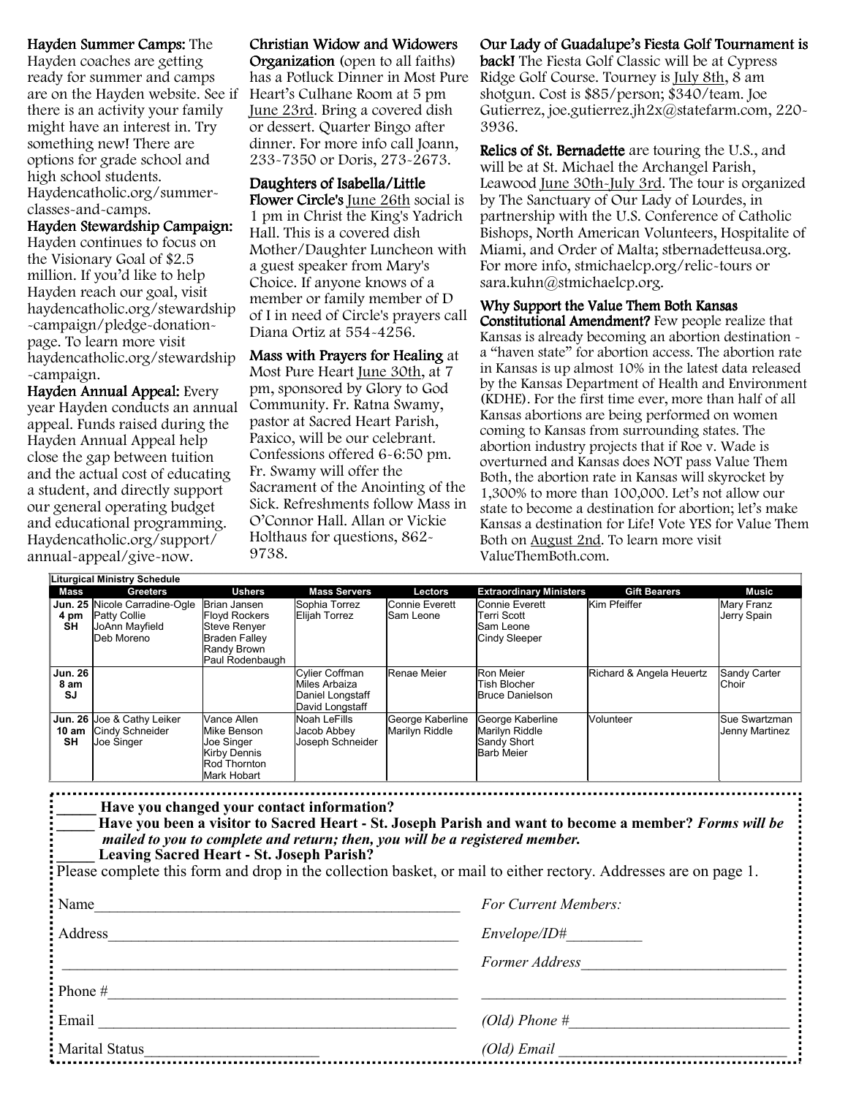#### Hayden Summer Camps: The

Hayden coaches are getting ready for summer and camps are on the Hayden website. See if there is an activity your family might have an interest in. Try something new! There are options for grade school and high school students. Haydencatholic.org/summerclasses-and-camps.

#### Hayden Stewardship Campaign:

Hayden continues to focus on the Visionary Goal of \$2.5 million. If you'd like to help Hayden reach our goal, visit haydencatholic.org/stewardship -campaign/pledge-donationpage. To learn more visit haydencatholic.org/stewardship -campaign.

Hayden Annual Appeal: Every year Hayden conducts an annual appeal. Funds raised during the Hayden Annual Appeal help close the gap between tuition and the actual cost of educating a student, and directly support our general operating budget and educational programming. Haydencatholic.org/support/ annual-appeal/give-now.

#### Christian Widow and Widowers

Organization (open to all faiths) Heart's Culhane Room at 5 pm June 23rd. Bring a covered dish or dessert. Quarter Bingo after dinner. For more info call Joann, 233-7350 or Doris, 273-2673.

#### Daughters of Isabella/Little

Flower Circle's June 26th social is 1 pm in Christ the King's Yadrich Hall. This is a covered dish Mother/Daughter Luncheon with a guest speaker from Mary's Choice. If anyone knows of a member or family member of D of I in need of Circle's prayers call Diana Ortiz at 554-4256.

#### Mass with Prayers for Healing at Most Pure Heart June 30th, at 7 pm, sponsored by Glory to God Community. Fr. Ratna Swamy, pastor at Sacred Heart Parish, Paxico, will be our celebrant. Confessions offered 6-6:50 pm. Fr. Swamy will offer the Sacrament of the Anointing of the Sick. Refreshments follow Mass in O'Connor Hall. Allan or Vickie Holthaus for questions, 862- 9738.

#### has a Potluck Dinner in Most Pure Ridge Golf Course. Tourney is July 8th, 8 am Our Lady of Guadalupe's Fiesta Golf Tournament is **back!** The Fiesta Golf Classic will be at Cypress shotgun. Cost is \$85/person; \$340/team. Joe Gutierrez, joe.gutierrez.jh2x@statefarm.com, 220- 3936.

Relics of St. Bernadette are touring the U.S., and will be at St. Michael the Archangel Parish, Leawood June 30th-July 3rd. The tour is organized by The Sanctuary of Our Lady of Lourdes, in partnership with the U.S. Conference of Catholic Bishops, North American Volunteers, Hospitalite of Miami, and Order of Malta; stbernadetteusa.org. For more info, stmichaelcp.org/relic-tours or sara.kuhn@stmichaelcp.org.

#### Why Support the Value Them Both Kansas

Constitutional Amendment? Few people realize that Kansas is already becoming an abortion destination a "haven state" for abortion access. The abortion rate in Kansas is up almost 10% in the latest data released by the Kansas Department of Health and Environment (KDHE). For the first time ever, more than half of all Kansas abortions are being performed on women coming to Kansas from surrounding states. The abortion industry projects that if Roe v. Wade is overturned and Kansas does NOT pass Value Them Both, the abortion rate in Kansas will skyrocket by 1,300% to more than 100,000. Let's not allow our state to become a destination for abortion; let's make Kansas a destination for Life! Vote YES for Value Them Both on August 2nd. To learn more visit ValueThemBoth.com.

|                                     | <b>Liturgical Ministry Schedule</b>                                                  |                                                                                                                       |                                                                        |                                    |                                                                        |                          |                                 |
|-------------------------------------|--------------------------------------------------------------------------------------|-----------------------------------------------------------------------------------------------------------------------|------------------------------------------------------------------------|------------------------------------|------------------------------------------------------------------------|--------------------------|---------------------------------|
| Mass                                | <b>Greeters</b>                                                                      | <b>Ushers</b>                                                                                                         | <b>Mass Servers</b>                                                    | Lectors                            | <b>Extraordinary Ministers</b>                                         | <b>Gift Bearers</b>      | Music                           |
| 4 pm<br><b>SH</b>                   | Jun. 25 Nicole Carradine-Ogle<br><b>Patty Collie</b><br>JoAnn Mayfield<br>Deb Moreno | Brian Jansen<br><b>Floyd Rockers</b><br><b>Steve Renyer</b><br><b>Braden Fallev</b><br>Randy Brown<br>Paul Rodenbaugh | Sophia Torrez<br><b>Elijah Torrez</b>                                  | Connie Everett<br>Sam Leone        | Connie Everett<br>Terri Scott<br>Sam Leone<br>Cindy Sleeper            | Kim Pfeiffer             | Mary Franz<br>Jerry Spain       |
| <b>Jun. 26</b><br>8 am<br><b>SJ</b> |                                                                                      |                                                                                                                       | Cylier Coffman<br>Miles Arbaiza<br>Daniel Longstaff<br>David Longstaff | Renae Meier                        | <b>Ron Meier</b><br><b>Tish Blocher</b><br><b>Bruce Danielson</b>      | Richard & Angela Heuertz | Sandy Carter<br>Choir           |
| 10 am<br>SH                         | Jun. 26 Joe & Cathy Leiker<br>Cindy Schneider<br>Joe Singer                          | Vance Allen<br>Mike Benson<br>Joe Singer<br>Kirby Dennis<br>Rod Thornton<br>Mark Hobart                               | Noah LeFills<br>Jacob Abbey<br>Joseph Schneider                        | George Kaberline<br>Marilyn Riddle | George Kaberline<br>Marilyn Riddle<br>Sandy Short<br><b>Barb Meier</b> | Volunteer                | Sue Swartzman<br>Jenny Martinez |

| Have you changed your contact information?<br>Have you been a visitor to Sacred Heart - St. Joseph Parish and want to become a member? Forms will be<br>mailed to you to complete and return; then, you will be a registered member.<br><b>Leaving Sacred Heart - St. Joseph Parish?</b><br>Please complete this form and drop in the collection basket, or mail to either rectory. Addresses are on page 1. |                      |  |
|--------------------------------------------------------------------------------------------------------------------------------------------------------------------------------------------------------------------------------------------------------------------------------------------------------------------------------------------------------------------------------------------------------------|----------------------|--|
| : Name                                                                                                                                                                                                                                                                                                                                                                                                       | For Current Members: |  |
| : Address                                                                                                                                                                                                                                                                                                                                                                                                    | <i>Envelope/ID</i> # |  |
|                                                                                                                                                                                                                                                                                                                                                                                                              | Former Address       |  |
| : Phone #                                                                                                                                                                                                                                                                                                                                                                                                    |                      |  |
| : Email                                                                                                                                                                                                                                                                                                                                                                                                      | (Old) Phone $#$      |  |
| Marital Status                                                                                                                                                                                                                                                                                                                                                                                               | (Old) Email          |  |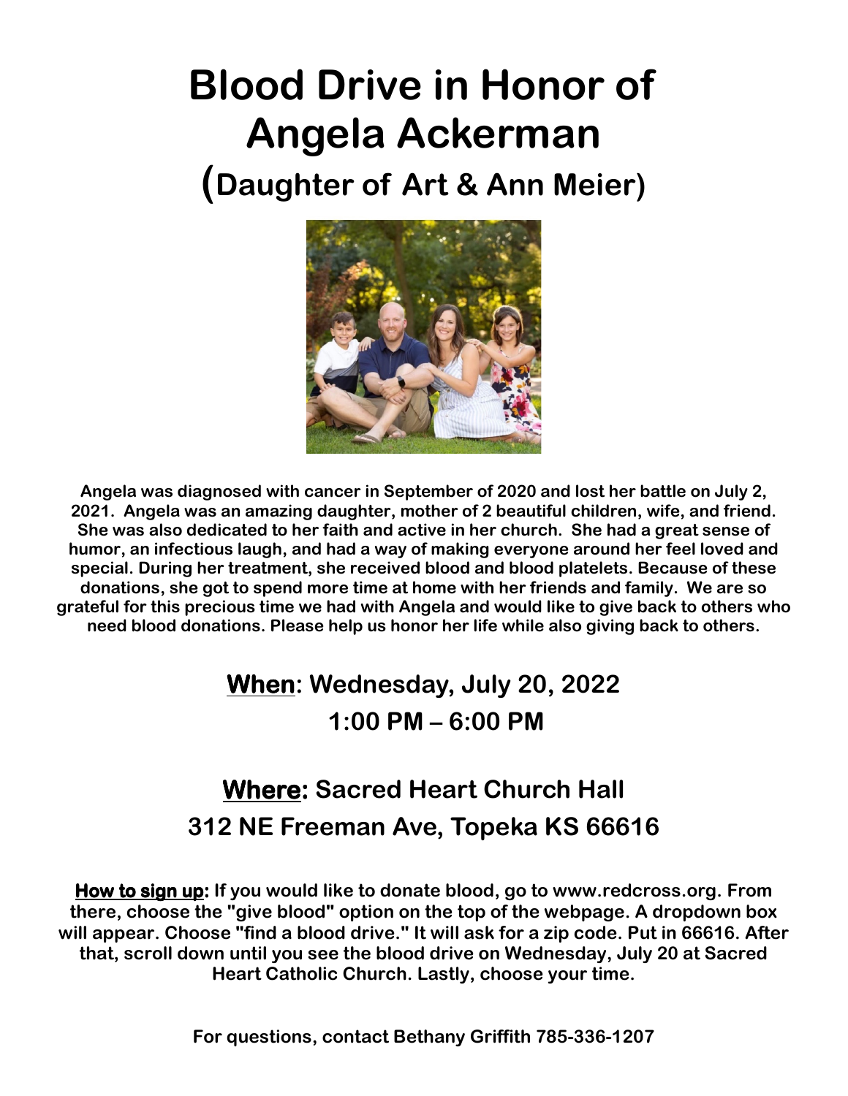# **Blood Drive in Honor of Angela Ackerman**

**(Daughter of Art & Ann Meier)** 



**Angela was diagnosed with cancer in September of 2020 and lost her battle on July 2, 2021. Angela was an amazing daughter, mother of 2 beautiful children, wife, and friend. She was also dedicated to her faith and active in her church. She had a great sense of humor, an infectious laugh, and had a way of making everyone around her feel loved and special. During her treatment, she received blood and blood platelets. Because of these donations, she got to spend more time at home with her friends and family. We are so grateful for this precious time we had with Angela and would like to give back to others who need blood donations. Please help us honor her life while also giving back to others.** 

# **When: Wednesday, July 20, 2022 1:00 PM – 6:00 PM**

# **Where: Sacred Heart Church Hall 312 NE Freeman Ave, Topeka KS 66616**

**How to sign up: If you would like to donate blood, go to www.redcross.org. From there, choose the "give blood" option on the top of the webpage. A dropdown box will appear. Choose "find a blood drive." It will ask for a zip code. Put in 66616. After that, scroll down until you see the blood drive on Wednesday, July 20 at Sacred Heart Catholic Church. Lastly, choose your time.**